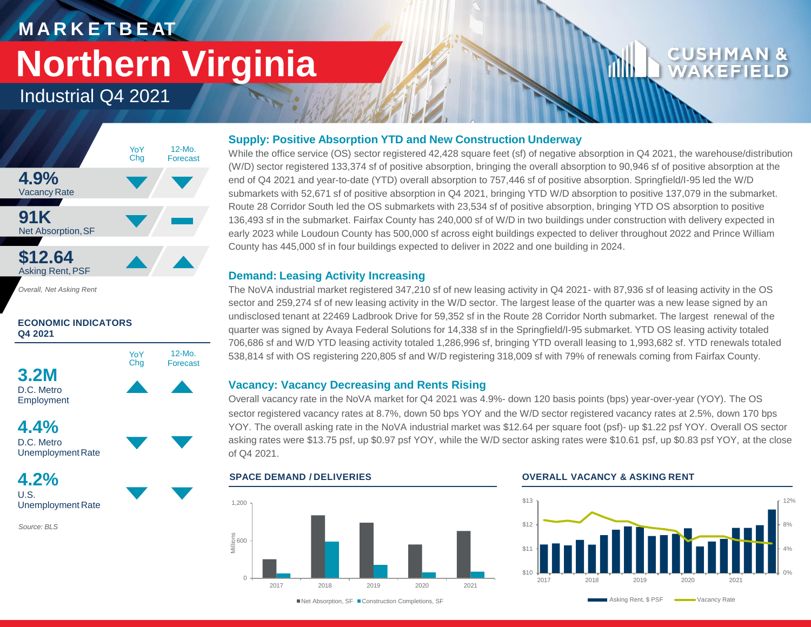## **M A R K E T B E AT Northern Virginia**

12-Mo. Forecast

YoY Chg





*Overall, Net Asking Rent*





Employment

**4.4%** D.C. Metro Unemployment Rate

**4.2%** U.S. Unemployment Rate

*Source: BLS*

### **Supply: Positive Absorption YTD and New Construction Underway**

While the office service (OS) sector registered 42,428 square feet (sf) of negative absorption in Q4 2021, the warehouse/distribution (W/D) sector registered 133,374 sf of positive absorption, bringing the overall absorption to 90,946 sf of positive absorption at the end of Q4 2021 and year-to-date (YTD) overall absorption to 757,446 sf of positive absorption. Springfield/I-95 led the W/D submarkets with 52,671 sf of positive absorption in Q4 2021, bringing YTD W/D absorption to positive 137,079 in the submarket. Route 28 Corridor South led the OS submarkets with 23,534 sf of positive absorption, bringing YTD OS absorption to positive 136,493 sf in the submarket. Fairfax County has 240,000 sf of W/D in two buildings under construction with delivery expected in early 2023 while Loudoun County has 500,000 sf across eight buildings expected to deliver throughout 2022 and Prince William County has 445,000 sf in four buildings expected to deliver in 2022 and one building in 2024.

#### **Demand: Leasing Activity Increasing**

The NoVA industrial market registered 347,210 sf of new leasing activity in Q4 2021- with 87,936 sf of leasing activity in the OS sector and 259,274 sf of new leasing activity in the W/D sector. The largest lease of the quarter was a new lease signed by an undisclosed tenant at 22469 Ladbrook Drive for 59,352 sf in the Route 28 Corridor North submarket. The largest renewal of the quarter was signed by Avaya Federal Solutions for 14,338 sf in the Springfield/I-95 submarket. YTD OS leasing activity totaled 706,686 sf and W/D YTD leasing activity totaled 1,286,996 sf, bringing YTD overall leasing to 1,993,682 sf. YTD renewals totaled 538,814 sf with OS registering 220,805 sf and W/D registering 318,009 sf with 79% of renewals coming from Fairfax County.

#### **Vacancy: Vacancy Decreasing and Rents Rising**

Overall vacancy rate in the NoVA market for Q4 2021 was 4.9%- down 120 basis points (bps) year-over-year (YOY). The OS sector registered vacancy rates at 8.7%, down 50 bps YOY and the W/D sector registered vacancy rates at 2.5%, down 170 bps YOY. The overall asking rate in the NoVA industrial market was \$12.64 per square foot (psf)- up \$1.22 psf YOY. Overall OS sector asking rates were \$13.75 psf, up \$0.97 psf YOY, while the W/D sector asking rates were \$10.61 psf, up \$0.83 psf YOY, at the close of Q4 2021.



#### **SPACE DEMAND / DELIVERIES OVERALL VACANCY & ASKING RENT**



■Net Absorption, SF ■ Construction Completions, SF